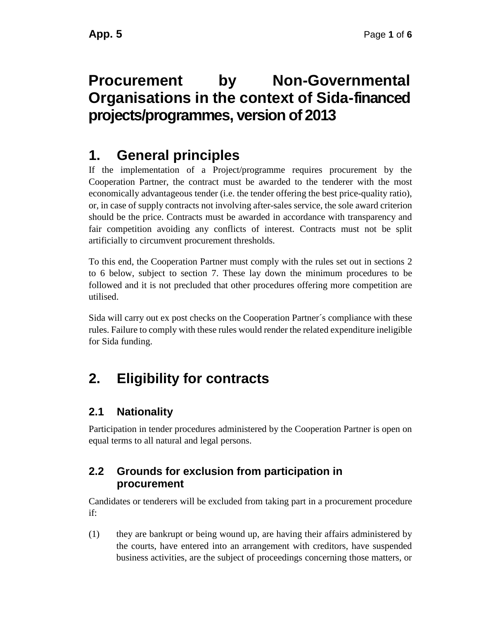# **Procurement by Non-Governmental Organisations in the context of Sida-financed projects/programmes, version of 2013**

### **1. General principles**

If the implementation of a Project/programme requires procurement by the Cooperation Partner, the contract must be awarded to the tenderer with the most economically advantageous tender (i.e. the tender offering the best price-quality ratio), or, in case of supply contracts not involving after-sales service, the sole award criterion should be the price. Contracts must be awarded in accordance with transparency and fair competition avoiding any conflicts of interest. Contracts must not be split artificially to circumvent procurement thresholds.

To this end, the Cooperation Partner must comply with the rules set out in sections [2](#page-0-0) to [6](#page-3-0) below, subject to section [7.](#page-5-0) These lay down the minimum procedures to be followed and it is not precluded that other procedures offering more competition are utilised.

Sida will carry out ex post checks on the Cooperation Partner´s compliance with these rules. Failure to comply with these rules would render the related expenditure ineligible for Sida funding.

# <span id="page-0-0"></span>**2. Eligibility for contracts**

#### **2.1 Nationality**

Participation in tender procedures administered by the Cooperation Partner is open on equal terms to all natural and legal persons.

#### **2.2 Grounds for exclusion from participation in procurement**

Candidates or tenderers will be excluded from taking part in a procurement procedure if:

(1) they are bankrupt or being wound up, are having their affairs administered by the courts, have entered into an arrangement with creditors, have suspended business activities, are the subject of proceedings concerning those matters, or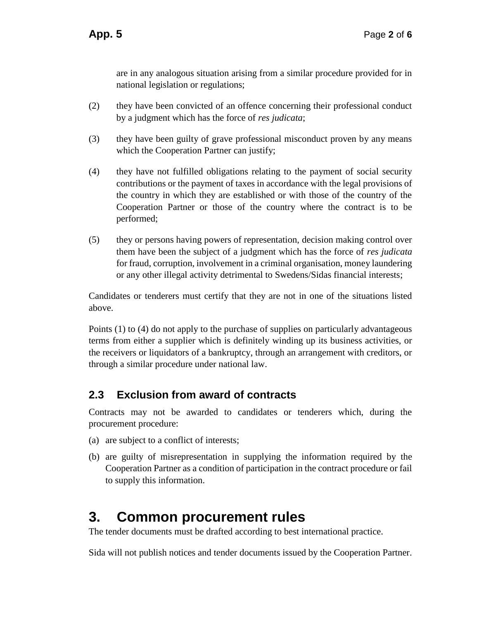are in any analogous situation arising from a similar procedure provided for in national legislation or regulations;

- (2) they have been convicted of an offence concerning their professional conduct by a judgment which has the force of *res judicata*;
- (3) they have been guilty of grave professional misconduct proven by any means which the Cooperation Partner can justify;
- (4) they have not fulfilled obligations relating to the payment of social security contributions or the payment of taxes in accordance with the legal provisions of the country in which they are established or with those of the country of the Cooperation Partner or those of the country where the contract is to be performed;
- (5) they or persons having powers of representation, decision making control over them have been the subject of a judgment which has the force of *res judicata* for fraud, corruption, involvement in a criminal organisation, money laundering or any other illegal activity detrimental to Swedens/Sidas financial interests;

Candidates or tenderers must certify that they are not in one of the situations listed above.

Points (1) to (4) do not apply to the purchase of supplies on particularly advantageous terms from either a supplier which is definitely winding up its business activities, or the receivers or liquidators of a bankruptcy, through an arrangement with creditors, or through a similar procedure under national law.

#### **2.3 Exclusion from award of contracts**

Contracts may not be awarded to candidates or tenderers which, during the procurement procedure:

- (a) are subject to a conflict of interests;
- (b) are guilty of misrepresentation in supplying the information required by the Cooperation Partner as a condition of participation in the contract procedure or fail to supply this information.

### **3. Common procurement rules**

The tender documents must be drafted according to best international practice.

Sida will not publish notices and tender documents issued by the Cooperation Partner.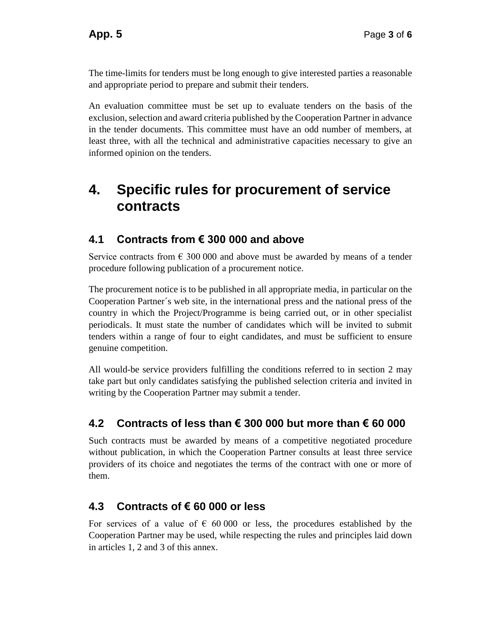The time-limits for tenders must be long enough to give interested parties a reasonable and appropriate period to prepare and submit their tenders.

An evaluation committee must be set up to evaluate tenders on the basis of the exclusion, selection and award criteria published by the Cooperation Partner in advance in the tender documents. This committee must have an odd number of members, at least three, with all the technical and administrative capacities necessary to give an informed opinion on the tenders.

### **4. Specific rules for procurement of service contracts**

#### **4.1 Contracts from € 300 000 and above**

Service contracts from  $\epsilon$  300 000 and above must be awarded by means of a tender procedure following publication of a procurement notice.

The procurement notice is to be published in all appropriate media, in particular on the Cooperation Partner´s web site, in the international press and the national press of the country in which the Project/Programme is being carried out, or in other specialist periodicals. It must state the number of candidates which will be invited to submit tenders within a range of four to eight candidates, and must be sufficient to ensure genuine competition.

All would-be service providers fulfilling the conditions referred to in section [2](#page-0-0) may take part but only candidates satisfying the published selection criteria and invited in writing by the Cooperation Partner may submit a tender.

#### **4.2 Contracts of less than € 300 000 but more than € 60 000**

Such contracts must be awarded by means of a competitive negotiated procedure without publication, in which the Cooperation Partner consults at least three service providers of its choice and negotiates the terms of the contract with one or more of them.

#### **4.3 Contracts of € 60 000 or less**

For services of a value of  $\epsilon$  60 000 or less, the procedures established by the Cooperation Partner may be used, while respecting the rules and principles laid down in articles 1, 2 and 3 of this annex.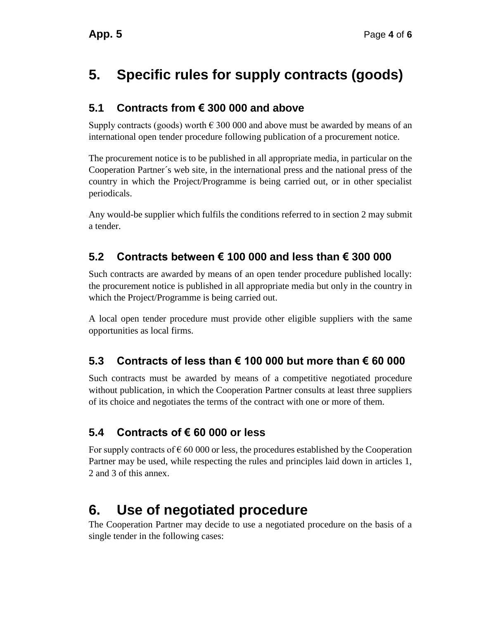# **5. Specific rules for supply contracts (goods)**

#### **5.1 Contracts from € 300 000 and above**

Supply contracts (goods) worth  $\epsilon$  300 000 and above must be awarded by means of an international open tender procedure following publication of a procurement notice.

The procurement notice is to be published in all appropriate media, in particular on the Cooperation Partner´s web site, in the international press and the national press of the country in which the Project/Programme is being carried out, or in other specialist periodicals.

Any would-be supplier which fulfils the conditions referred to in section [2](#page-0-0) may submit a tender.

#### **5.2 Contracts between € 100 000 and less than € 300 000**

Such contracts are awarded by means of an open tender procedure published locally: the procurement notice is published in all appropriate media but only in the country in which the Project/Programme is being carried out.

A local open tender procedure must provide other eligible suppliers with the same opportunities as local firms.

#### **5.3 Contracts of less than € 100 000 but more than € 60 000**

Such contracts must be awarded by means of a competitive negotiated procedure without publication, in which the Cooperation Partner consults at least three suppliers of its choice and negotiates the terms of the contract with one or more of them.

#### **5.4 Contracts of € 60 000 or less**

For supply contracts of  $\epsilon$  60 000 or less, the procedures established by the Cooperation Partner may be used, while respecting the rules and principles laid down in articles 1, 2 and 3 of this annex.

# <span id="page-3-0"></span>**6. Use of negotiated procedure**

The Cooperation Partner may decide to use a negotiated procedure on the basis of a single tender in the following cases: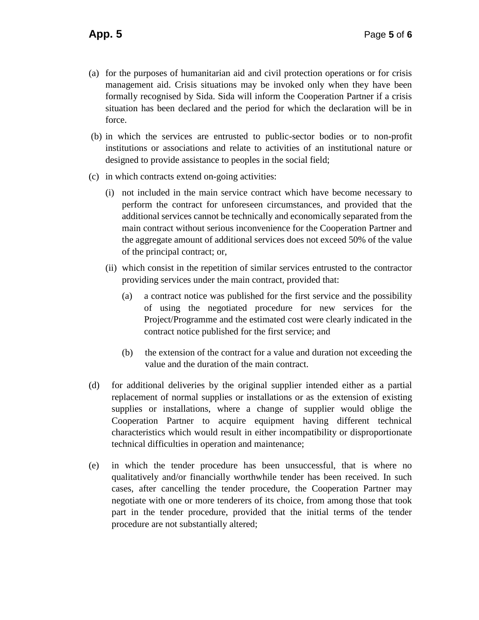- (a) for the purposes of humanitarian aid and civil protection operations or for crisis management aid. Crisis situations may be invoked only when they have been formally recognised by Sida. Sida will inform the Cooperation Partner if a crisis situation has been declared and the period for which the declaration will be in force.
- (b) in which the services are entrusted to public-sector bodies or to non-profit institutions or associations and relate to activities of an institutional nature or designed to provide assistance to peoples in the social field;
- (c) in which contracts extend on-going activities:
	- (i) not included in the main service contract which have become necessary to perform the contract for unforeseen circumstances, and provided that the additional services cannot be technically and economically separated from the main contract without serious inconvenience for the Cooperation Partner and the aggregate amount of additional services does not exceed 50% of the value of the principal contract; or,
	- (ii) which consist in the repetition of similar services entrusted to the contractor providing services under the main contract, provided that:
		- (a) a contract notice was published for the first service and the possibility of using the negotiated procedure for new services for the Project/Programme and the estimated cost were clearly indicated in the contract notice published for the first service; and
		- (b) the extension of the contract for a value and duration not exceeding the value and the duration of the main contract.
- (d) for additional deliveries by the original supplier intended either as a partial replacement of normal supplies or installations or as the extension of existing supplies or installations, where a change of supplier would oblige the Cooperation Partner to acquire equipment having different technical characteristics which would result in either incompatibility or disproportionate technical difficulties in operation and maintenance;
- (e) in which the tender procedure has been unsuccessful, that is where no qualitatively and/or financially worthwhile tender has been received. In such cases, after cancelling the tender procedure, the Cooperation Partner may negotiate with one or more tenderers of its choice, from among those that took part in the tender procedure, provided that the initial terms of the tender procedure are not substantially altered;